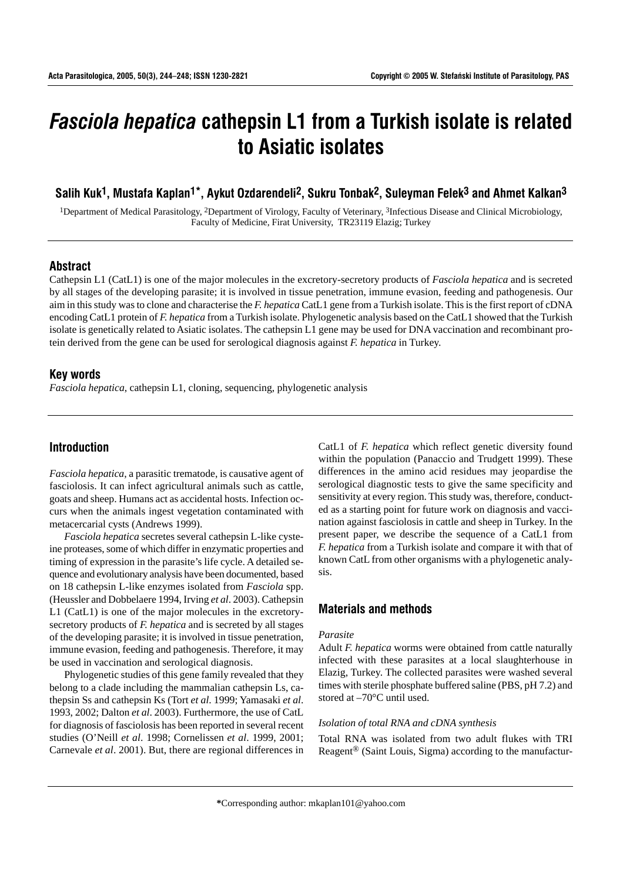# *Fasciola hepatica* **cathepsin L1 from a Turkish isolate is related to Asiatic isolates**

# **Salih Kuk1, Mustafa Kaplan1\*, Aykut Ozdarendeli2, Sukru Tonbak2, Suleyman Felek3 and Ahmet Kalkan3**

1Department of Medical Parasitology, 2Department of Virology, Faculty of Veterinary, 3Infectious Disease and Clinical Microbiology, Faculty of Medicine, Firat University, TR23119 Elazig; Turkey

## **Abstract**

Cathepsin L1 (CatL1) is one of the major molecules in the excretory-secretory products of *Fasciola hepatica* and is secreted by all stages of the developing parasite; it is involved in tissue penetration, immune evasion, feeding and pathogenesis. Our aim in this study was to clone and characterise the *F. hepatica* CatL1 gene from a Turkish isolate. This is the first report of cDNA encoding CatL1 protein of *F. hepatica* from a Turkish isolate. Phylogenetic analysis based on the CatL1 showed that the Turkish isolate is genetically related to Asiatic isolates. The cathepsin L1 gene may be used for DNA vaccination and recombinant protein derived from the gene can be used for serological diagnosis against *F. hepatica* in Turkey.

## **Key words**

*Fasciola hepatica*, cathepsin L1, cloning, sequencing, phylogenetic analysis

## **Introduction**

*Fasciola hepatica*, a parasitic trematode, is causative agent of fasciolosis. It can infect agricultural animals such as cattle, goats and sheep. Humans act as accidental hosts. Infection occurs when the animals ingest vegetation contaminated with metacercarial cysts (Andrews 1999).

*Fasciola hepatica* secretes several cathepsin L-like cysteine proteases, some of which differ in enzymatic properties and timing of expression in the parasite's life cycle. A detailed sequence and evolutionary analysis have been documented, based on 18 cathepsin L-like enzymes isolated from *Fasciola* spp. (Heussler and Dobbelaere 1994, Irving *et al*. 2003). Cathepsin L1 (CatL1) is one of the major molecules in the excretorysecretory products of *F. hepatica* and is secreted by all stages of the developing parasite; it is involved in tissue penetration, immune evasion, feeding and pathogenesis. Therefore, it may be used in vaccination and serological diagnosis.

Phylogenetic studies of this gene family revealed that they belong to a clade including the mammalian cathepsin Ls, cathepsin Ss and cathepsin Ks (Tort *et al*. 1999; Yamasaki *et al*. 1993, 2002; Dalton *et al*. 2003). Furthermore, the use of CatL for diagnosis of fasciolosis has been reported in several recent studies (O'Neill *et al*. 1998; Cornelissen *et al*. 1999, 2001; Carnevale *et al*. 2001). But, there are regional differences in

CatL1 of *F. hepatica* which reflect genetic diversity found within the population (Panaccio and Trudgett 1999). These differences in the amino acid residues may jeopardise the serological diagnostic tests to give the same specificity and sensitivity at every region. This study was, therefore, conducted as a starting point for future work on diagnosis and vaccination against fasciolosis in cattle and sheep in Turkey. In the present paper, we describe the sequence of a CatL1 from *F. hepatica* from a Turkish isolate and compare it with that of known CatL from other organisms with a phylogenetic analysis.

## **Materials and methods**

#### *Parasite*

Adult *F. hepatica* worms were obtained from cattle naturally infected with these parasites at a local slaughterhouse in Elazig, Turkey. The collected parasites were washed several times with sterile phosphate buffered saline (PBS, pH 7.2) and stored at –70°C until used.

#### *Isolation of total RNA and cDNA synthesis*

Total RNA was isolated from two adult flukes with TRI Reagent® (Saint Louis, Sigma) according to the manufactur-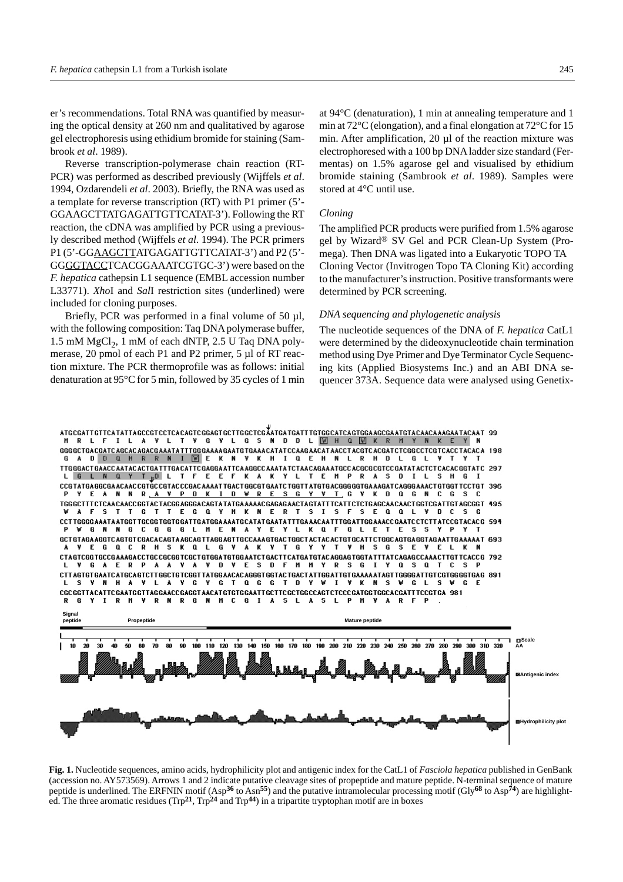er's recommendations. Total RNA was quantified by measuring the optical density at 260 nm and qualitatived by agarose gel electrophoresis using ethidium bromide for staining (Sambrook *et al*. 1989).

Reverse transcription-polymerase chain reaction (RT-PCR) was performed as described previously (Wijffels *et al*. 1994, Ozdarendeli *et al*. 2003). Briefly, the RNA was used as a template for reverse transcription (RT) with P1 primer (5'- GGAAGCTTATGAGATTGTTCATAT-3'). Following the RT reaction, the cDNA was amplified by PCR using a previously described method (Wijffels *et al*. 1994). The PCR primers P1 (5'-GGAAGCTTATGAGATTGTTCATAT-3') and P2 (5'- GGGGTACCTCACGGAAATCGTGC-3') were based on the *F. hepatica* cathepsin L1 sequence (EMBL accession number L33771). *Xho*I and *Sal*I restriction sites (underlined) were included for cloning purposes.

Briefly, PCR was performed in a final volume of 50 µl, with the following composition: Taq DNA polymerase buffer,  $1.5$  mM MgCl<sub>2</sub>, 1 mM of each dNTP, 2.5 U Taq DNA polymerase, 20 pmol of each P1 and P2 primer, 5 µl of RT reaction mixture. The PCR thermoprofile was as follows: initial denaturation at 95°C for 5 min, followed by 35 cycles of 1 min

at 94°C (denaturation), 1 min at annealing temperature and 1 min at 72°C (elongation), and a final elongation at 72°C for 15 min. After amplification, 20 µl of the reaction mixture was electrophoresed with a 100 bp DNA ladder size standard (Fermentas) on 1.5% agarose gel and visualised by ethidium bromide staining (Sambrook *et al*. 1989). Samples were stored at 4°C until use.

#### *Cloning*

The amplified PCR products were purified from 1.5% agarose gel by Wizard® SV Gel and PCR Clean-Up System (Promega). Then DNA was ligated into a Eukaryotic TOPO TA Cloning Vector (Invitrogen Topo TA Cloning Kit) according to the manufacturer's instruction. Positive transformants were determined by PCR screening.

### *DNA sequencing and phylogenetic analysis*

The nucleotide sequences of the DNA of *F. hepatica* CatL1 were determined by the dideoxynucleotide chain termination method using Dye Primer and Dye Terminator Cycle Sequencing kits (Applied Biosystems Inc.) and an ABI DNA sequencer 373A. Sequence data were analysed using Genetix-

ATGCGATTGTTCATATTAGCCGTCCTCACAGTCGGAGTGCTTGGCTCGATGATGATGTTGTGGCATCAGTGGAACCGAATGTACAACAAGAATACAAT 99 I L A V L T V G V L G S N D D L Ø H Q Ø K R M Y N K E Y TTGGGACTGAACCAATACACTGATTTGACATTCGAGGAATTCAAGGCCAAATATCTAACAGAAATGCCACGCGCGTCCGATATACTCTCACACGGTATC 297 LGLNQYT<sub>R</sub>OL T F EEF KA `κ. T E M P **R A S D**  $I L$  $\mathbf{L}$ CCGTATGAGGCGAACAACCGTGCCGTACCCGACAAAATTGACTGGCGTGAATCTGGTTATGTGACGGGGGTGAAAGATCAGGGAAACTGTGGTTCCTGT 396 N R A V P D K I D W R E S G Y V T G V KD Q G N EA N C G TGGGCTTTCTCAACAACCGGTACTACGGAGGGACAGTATTATGAAAAACGAGAGAACTAGTATTTCATTCTCTGAGCAACAACTGGTCGATTGTAGCGGT 495<br>
VAFSTTGTTEGQYMKNERTSISFSEQQLVDCSG CCTTGGGGAAATAATGGTTGCGGTGGTGGATTGATGGAAAATGCATATGAATATTTGAAACAATTTGGATTGGAAACCGAATCCTCTTATCCGTACACG 594 **GNNGCGGGLMENAYE** Y L K Q F G L E T E s s Y P GCTGTAGAAGGTCAGTGTCGACACAGTAAGCAGTTAGGAGTTGCCAAAGTGACTGGCTACTACACTGTGCATTCTGGCAGTGAGGTAGAATTGAAAAAT 693 **EGQCRHSKQLGVAK** T G Y **V** Y  $\mathbf{I}$ Y H S G S E V EL CTAGTCGGTGCCGAAAGACCTGCCGCGGTCGCTGTGGATGTGGAATCTGACTTCATGATGTACAGGAGTGGTATTTATCAGAGCCAAACTTGTTCACCG 792 **GAERP** A A V A V D V **MMYRSGI** ESDF  $0.50$  T C S F CTTAGTGTGAATCATGCAGTCTTGGCTGTGGTTATGGAACACAGGGTGGTACTGACTATTGGATTGTGAAAAATAGTTGGGGATTGTCGTGGGGTGAG 891<br>LSVNHAVLAVGYGTQGGTTATGHGTDYVIVKNSVGLSVGLSVGE CGCGGTTACATTCGAATGGTTAGGAACCGAGGTAACATGTGTGGAATTGCTTCGCTGGCCAGTCTCCCGATGGTGGCACGATTTCCGTGA 981 R G R **M** Δ¥ **RN RGN MC** G I A S L **S** L **P** M .y A R **I** A



**Fig. 1.** Nucleotide sequences, amino acids, hydrophilicity plot and antigenic index for the CatL1 of *Fasciola hepatica* published in GenBank (accession no. AY573569). Arrows 1 and 2 indicate putative cleavage sites of propeptide and mature peptide. N-terminal sequence of mature peptide is underlined. The ERFNIN motif (Asp**36** to Asn**55**) and the putative intramolecular processing motif (Gly**68** to Asp**74**) are highlighted. The three aromatic residues (Trp**21**, Trp**24** and Trp**44**) in a tripartite tryptophan motif are in boxes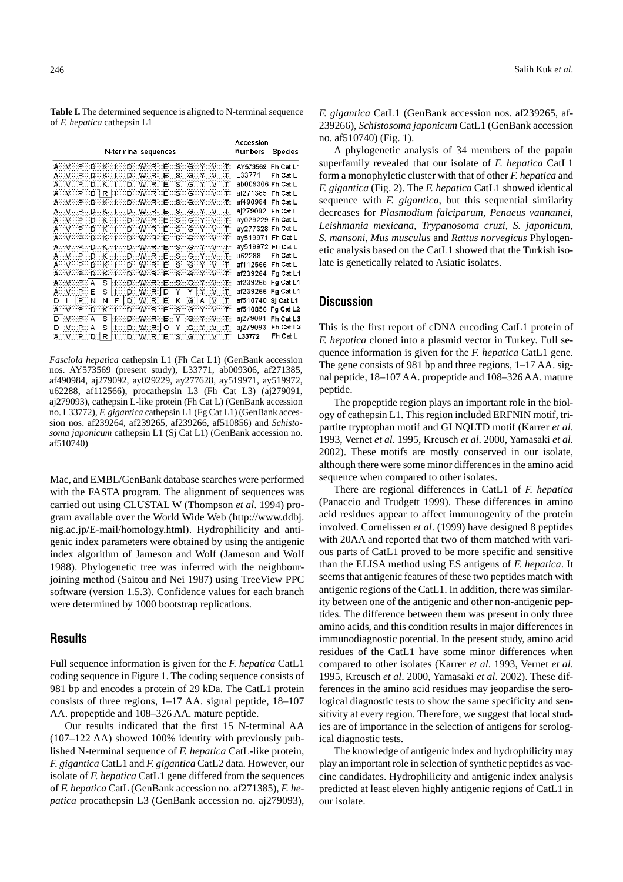|   |                      |             |      |        |                     |  |             |  |   |    |       |  |                               |  | Accession          |                |
|---|----------------------|-------------|------|--------|---------------------|--|-------------|--|---|----|-------|--|-------------------------------|--|--------------------|----------------|
|   | N-terminal sequences |             |      |        |                     |  |             |  |   |    |       |  |                               |  | numbers            | <b>Species</b> |
|   |                      |             |      |        |                     |  |             |  |   |    |       |  | AVPDKI DWRES GYVT             |  | AY573569           | $Fh$ Cat I 1   |
|   | . v P                |             | ுற   | — к. т |                     |  | D W R E     |  |   | းဒ |       |  | GY VT                         |  | L33771             | Fh Cat L       |
|   | $V$ $P$              |             | ന    | —к 1   |                     |  | D W R       |  | Œ | း  | G Y V |  |                               |  | ab009306 Fh Cat L  |                |
|   |                      | A V P D R H |      |        |                     |  | D W R E     |  |   |    |       |  | SGYVT                         |  | af271385           | Fh Cat L       |
|   |                      |             |      |        |                     |  |             |  |   |    |       |  | AVPDKI DWRESCYVT              |  | af490984           | Fh Cat L       |
|   |                      |             |      |        |                     |  |             |  |   |    |       |  | A V P D K I D W R E S G Y V T |  | aj279092 Fh Cat L  |                |
|   |                      |             |      |        |                     |  |             |  |   |    |       |  | AVPDKI DWRESGYVT              |  | ay029229 Fh Cat L  |                |
|   |                      |             |      |        | A V P D K I D W R E |  |             |  |   |    |       |  | SGYVT                         |  | ay277628 Fh Cat L  |                |
|   | A V P                |             | DK I |        |                     |  | D WR E      |  |   |    |       |  | SGYVT                         |  | av519971 Fh Cat L  |                |
|   |                      |             |      |        |                     |  |             |  |   |    |       |  | A V P D K I D W R E S G Y V T |  | av519972 Fh Cat L  |                |
|   |                      |             |      |        | AVPDKI DWRE         |  |             |  |   |    |       |  | s g y v t                     |  | u62288             | Fh Cat L       |
|   |                      |             |      |        |                     |  |             |  |   |    |       |  | A V P D K I D W R E S G Y V T |  | af112566           | Fh Cat L       |
|   |                      | A V P       | D.   |        |                     |  |             |  |   |    |       |  | K   D W R E S G Y V T         |  | af239264 Fg Cat L1 |                |
|   |                      | $V$ P       | A    | S      |                     |  |             |  |   |    |       |  | $1$ D W R E S G Y V T         |  | af239265 Fg Cat L1 |                |
|   |                      | $A \vee P$  | Е    | S      | $1$ D W R D         |  |             |  |   | Υ  | Y     |  | YV                            |  | af239266 Fg Cat L1 |                |
| D | т                    | $P$ N       |      | Ν      | F.                  |  |             |  |   |    |       |  | D W R E K G A V T             |  | af510740 Si Cat L1 |                |
| Α |                      | V P         | Ð    | . K.   |                     |  |             |  |   |    |       |  | D W R E S G Y V T             |  | af510856 Fg Cat L2 |                |
| D |                      | $V$ $P$     | A    | S      | $1$ D W R E Y       |  |             |  |   |    |       |  | GYVT                          |  | aj279091           | Fh Cat L3      |
| D |                      | $V$ $P$     | A    | S      |                     |  | $1$ D W R Q |  |   | Y  |       |  | GYVT                          |  | aj279093           | Fh Cat L3      |
|   |                      | P           | Ð    | R      |                     |  |             |  |   |    |       |  | D W R E S G Y V T             |  | L33772             | Fh Cat L       |

*Fasciola hepatica* cathepsin L1 (Fh Cat L1) (GenBank accession nos. AY573569 (present study), L33771, ab009306, af271385, af490984, aj279092, ay029229, ay277628, ay519971, ay519972, u62288, af112566), procathepsin L3 (Fh Cat L3) (aj279091, aj279093), cathepsin L-like protein (Fh Cat L) (GenBank accession no. L33772), *F. gigantica* cathepsin L1 (Fg Cat L1) (GenBank accession nos. af239264, af239265, af239266, af510856) and *Schistosoma japonicum* cathepsin L1 (Sj Cat L1) (GenBank accession no. af510740)

Mac, and EMBL/GenBank database searches were performed with the FASTA program. The alignment of sequences was carried out using CLUSTAL W (Thompson *et al*. 1994) program available over the World Wide Web (http://www.ddbj. nig.ac.jp/E-mail/homology.html). Hydrophilicity and antigenic index parameters were obtained by using the antigenic index algorithm of Jameson and Wolf (Jameson and Wolf 1988). Phylogenetic tree was inferred with the neighbourjoining method (Saitou and Nei 1987) using TreeView PPC software (version 1.5.3). Confidence values for each branch were determined by 1000 bootstrap replications.

## **Results**

Full sequence information is given for the *F. hepatica* CatL1 coding sequence in Figure 1. The coding sequence consists of 981 bp and encodes a protein of 29 kDa. The CatL1 protein consists of three regions, 1–17 AA. signal peptide, 18–107 AA. propeptide and 108–326 AA. mature peptide.

Our results indicated that the first 15 N-terminal AA (107–122 AA) showed 100% identity with previously published N-terminal sequence of *F. hepatica* CatL-like protein, *F. gigantica* CatL1 and *F. gigantica* CatL2 data. However, our isolate of *F. hepatica* CatL1 gene differed from the sequences of *F. hepatica* CatL (GenBank accession no. af271385), *F. hepatica* procathepsin L3 (GenBank accession no. aj279093),

*F. gigantica* CatL1 (GenBank accession nos. af239265, af-239266), *Schistosoma japonicum* CatL1 (GenBank accession no. af510740) (Fig. 1).

A phylogenetic analysis of 34 members of the papain superfamily revealed that our isolate of *F. hepatica* CatL1 form a monophyletic cluster with that of other *F. hepatica* and *F. gigantica* (Fig. 2). The *F. hepatica* CatL1 showed identical sequence with *F. gigantica*, but this sequential similarity decreases for *Plasmodium falciparum*, *Penaeus vannamei*, *Leishmania mexicana*, *Trypanosoma cruzi*, *S. japonicum*, *S. mansoni*, *Mus musculus* and *Rattus norvegicus* Phylogenetic analysis based on the CatL1 showed that the Turkish isolate is genetically related to Asiatic isolates.

## **Discussion**

This is the first report of cDNA encoding CatL1 protein of *F. hepatica* cloned into a plasmid vector in Turkey. Full sequence information is given for the *F. hepatica* CatL1 gene. The gene consists of 981 bp and three regions, 1–17 AA. signal peptide, 18–107 AA. propeptide and 108–326 AA. mature peptide.

The propeptide region plays an important role in the biology of cathepsin L1. This region included ERFNIN motif, tripartite tryptophan motif and GLNQLTD motif (Karrer *et al*. 1993, Vernet *et al*. 1995, Kreusch *et al*. 2000, Yamasaki *et al*. 2002). These motifs are mostly conserved in our isolate, although there were some minor differences in the amino acid sequence when compared to other isolates.

There are regional differences in CatL1 of *F. hepatica* (Panaccio and Trudgett 1999). These differences in amino acid residues appear to affect immunogenity of the protein involved. Cornelissen *et al*. (1999) have designed 8 peptides with 20AA and reported that two of them matched with various parts of CatL1 proved to be more specific and sensitive than the ELISA method using ES antigens of *F. hepatica*. It seems that antigenic features of these two peptides match with antigenic regions of the CatL1. In addition, there was similarity between one of the antigenic and other non-antigenic peptides. The difference between them was present in only three amino acids, and this condition results in major differences in immunodiagnostic potential. In the present study, amino acid residues of the CatL1 have some minor differences when compared to other isolates (Karrer *et al*. 1993, Vernet *et al*. 1995, Kreusch *et al*. 2000, Yamasaki *et al*. 2002). These differences in the amino acid residues may jeopardise the serological diagnostic tests to show the same specificity and sensitivity at every region. Therefore, we suggest that local studies are of importance in the selection of antigens for serological diagnostic tests.

The knowledge of antigenic index and hydrophilicity may play an important role in selection of synthetic peptides as vaccine candidates. Hydrophilicity and antigenic index analysis predicted at least eleven highly antigenic regions of CatL1 in our isolate.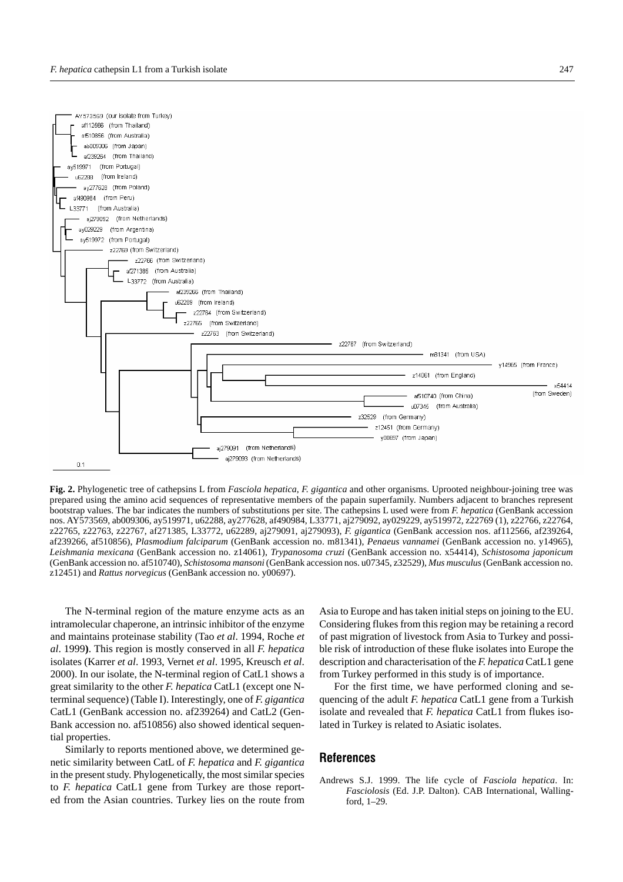

**Fig. 2.** Phylogenetic tree of cathepsins L from *Fasciola hepatica*, *F. gigantica* and other organisms. Uprooted neighbour-joining tree was prepared using the amino acid sequences of representative members of the papain superfamily. Numbers adjacent to branches represent bootstrap values. The bar indicates the numbers of substitutions per site. The cathepsins L used were from *F. hepatica* (GenBank accession nos. AY573569, ab009306, ay519971, u62288, ay277628, af490984, L33771, aj279092, ay029229, ay519972, z22769 (1), z22766, z22764, z22765, z22763, z22767, af271385, L33772, u62289, aj279091, aj279093), *F. gigantica* (GenBank accession nos. af112566, af239264, af239266, af510856), *Plasmodium falciparum* (GenBank accession no. m81341), *Penaeus vannamei* (GenBank accession no. y14965), *Leishmania mexicana* (GenBank accession no. z14061), *Trypanosoma cruzi* (GenBank accession no. x54414), *Schistosoma japonicum* (GenBank accession no. af510740), *Schistosoma mansoni* (GenBank accession nos. u07345, z32529), *Mus musculus*(GenBank accession no. z12451) and *Rattus norvegicus* (GenBank accession no. y00697).

The N-terminal region of the mature enzyme acts as an intramolecular chaperone, an intrinsic inhibitor of the enzyme and maintains proteinase stability (Tao *et al*. 1994, Roche *et al*. 1999**)**. This region is mostly conserved in all *F. hepatica* isolates (Karrer *et al*. 1993, Vernet *et al*. 1995, Kreusch *et al*. 2000). In our isolate, the N-terminal region of CatL1 shows a great similarity to the other *F. hepatica* CatL1 (except one Nterminal sequence) (Table I). Interestingly, one of *F. gigantica* CatL1 (GenBank accession no. af239264) and CatL2 (Gen-Bank accession no. af510856) also showed identical sequential properties.

Similarly to reports mentioned above, we determined genetic similarity between CatL of *F. hepatica* and *F. gigantica* in the present study. Phylogenetically, the most similar species to *F. hepatica* CatL1 gene from Turkey are those reported from the Asian countries. Turkey lies on the route from Asia to Europe and has taken initial steps on joining to the EU. Considering flukes from this region may be retaining a record of past migration of livestock from Asia to Turkey and possible risk of introduction of these fluke isolates into Europe the description and characterisation of the *F. hepatica* CatL1 gene from Turkey performed in this study is of importance.

For the first time, we have performed cloning and sequencing of the adult *F. hepatica* CatL1 gene from a Turkish isolate and revealed that *F. hepatica* CatL1 from flukes isolated in Turkey is related to Asiatic isolates.

## **References**

Andrews S.J. 1999. The life cycle of *Fasciola hepatica*. In: *Fasciolosis* (Ed. J.P. Dalton). CAB International, Wallingford, 1–29.